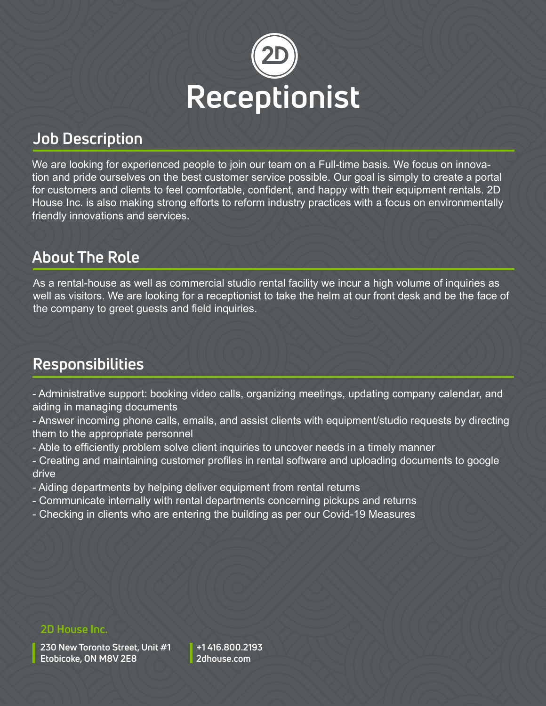

# **Job Description**

We are looking for experienced people to join our team on a Full-time basis. We focus on innovation and pride ourselves on the best customer service possible. Our goal is simply to create a portal for customers and clients to feel comfortable, confident, and happy with their equipment rentals. 2D House Inc. is also making strong efforts to reform industry practices with a focus on environmentally friendly innovations and services.

# **About The Role**

As a rental-house as well as commercial studio rental facility we incur a high volume of inquiries as well as visitors. We are looking for a receptionist to take the helm at our front desk and be the face of the company to greet guests and field inquiries.

# **Responsibilities**

- Administrative support: booking video calls, organizing meetings, updating company calendar, and aiding in managing documents

- Answer incoming phone calls, emails, and assist clients with equipment/studio requests by directing them to the appropriate personnel

- Able to efficiently problem solve client inquiries to uncover needs in a timely manner
- Creating and maintaining customer profiles in rental software and uploading documents to google drive
- Aiding departments by helping deliver equipment from rental returns
- Communicate internally with rental departments concerning pickups and returns
- Checking in clients who are entering the building as per our Covid-19 Measures

### **2D House Inc.**

**230 New Toronto Street, Unit #1 Etobicoke, ON M8V 2E8**

**+1 416.800.2193 2dhouse.com**